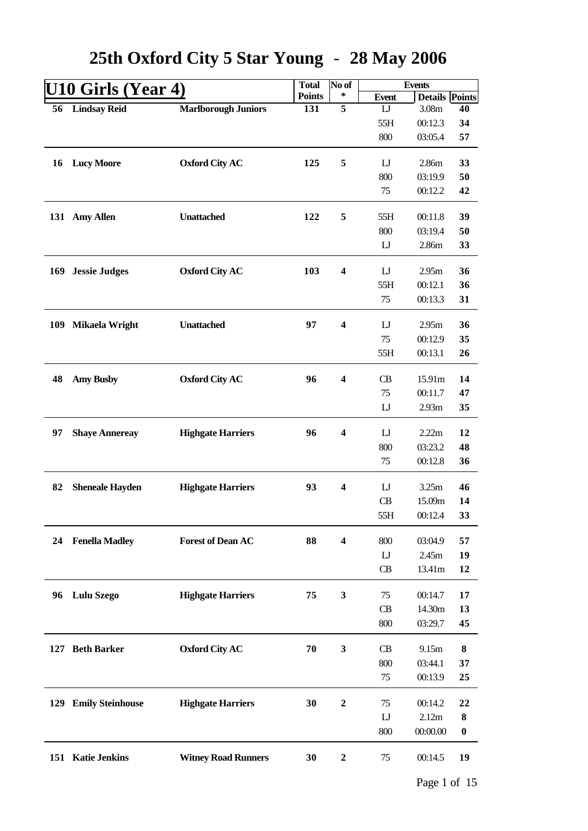|     | U10 Girls (Year 4)     |                            | <b>Total</b>  | No of                   |                | <b>Events</b>         |                  |
|-----|------------------------|----------------------------|---------------|-------------------------|----------------|-----------------------|------------------|
|     |                        |                            | <b>Points</b> | ∗                       | <b>Event</b>   | <b>Details Points</b> |                  |
| 56  | <b>Lindsay Reid</b>    | <b>Marlborough Juniors</b> | 131           | $\overline{5}$          | $\mathbf{L}$   | 3.08m                 | 40               |
|     |                        |                            |               |                         | 55H            | 00:12.3               | 34               |
|     |                        |                            |               |                         | 800            | 03:05.4               | 57               |
|     |                        |                            |               |                         |                |                       |                  |
| 16  | <b>Lucy Moore</b>      | <b>Oxford City AC</b>      | 125           | 5                       | $\mathbf{L}$   | 2.86m                 | 33               |
|     |                        |                            |               |                         | 800            | 03:19.9               | 50               |
|     |                        |                            |               |                         | 75             | 00:12.2               | 42               |
|     | 131 Amy Allen          | <b>Unattached</b>          | 122           | 5                       | 55H            | 00:11.8               | 39               |
|     |                        |                            |               |                         | 800            | 03:19.4               | 50               |
|     |                        |                            |               |                         | $\mathbf{L}$   | 2.86m                 | 33               |
|     |                        |                            |               |                         |                |                       |                  |
| 169 | <b>Jessie Judges</b>   | <b>Oxford City AC</b>      | 103           | $\overline{\mathbf{4}}$ | $\mathbf{L}$   | 2.95m                 | 36               |
|     |                        |                            |               |                         | 55H            | 00:12.1               | 36               |
|     |                        |                            |               |                         | 75             | 00:13.3               | 31               |
|     |                        |                            |               |                         |                |                       |                  |
| 109 | <b>Mikaela Wright</b>  | <b>Unattached</b>          | 97            | $\overline{\mathbf{4}}$ | $\mathbf{L}$   | 2.95m                 | 36               |
|     |                        |                            |               |                         | 75             | 00:12.9               | 35               |
|     |                        |                            |               |                         | 55H            | 00:13.1               | 26               |
|     |                        |                            |               |                         |                |                       |                  |
| 48  | <b>Amy Busby</b>       | <b>Oxford City AC</b>      | 96            | $\overline{\mathbf{4}}$ | CB             | 15.91m                | 14               |
|     |                        |                            |               |                         | 75             | 00:11.7               | 47               |
|     |                        |                            |               |                         | $_{\text{LJ}}$ | 2.93m                 | 35               |
| 97  |                        | <b>Highgate Harriers</b>   | 96            | $\overline{\mathbf{4}}$ | $\mathbf{L}$   | 2.22m                 | 12               |
|     | <b>Shaye Annereay</b>  |                            |               |                         | 800            | 03:23.2               | 48               |
|     |                        |                            |               |                         | 75             | 00:12.8               | 36               |
|     |                        |                            |               |                         |                |                       |                  |
| 82  | <b>Sheneale Hayden</b> | <b>Highgate Harriers</b>   | 93            | $\overline{\mathbf{4}}$ | $_{\text{L}}$  | 3.25m                 | 46               |
|     |                        |                            |               |                         | CB             | 15.09m                | 14               |
|     |                        |                            |               |                         | 55H            | 00:12.4               | 33               |
|     |                        |                            |               |                         |                |                       |                  |
| 24  | <b>Fenella Madley</b>  | <b>Forest of Dean AC</b>   | 88            | $\overline{\mathbf{4}}$ | 800            | 03:04.9               | 57               |
|     |                        |                            |               |                         | $\mathbf{L}$   | 2.45m                 | 19               |
|     |                        |                            |               |                         | CB             | 13.41m                | 12               |
|     |                        |                            |               |                         |                |                       |                  |
| 96  | <b>Lulu Szego</b>      | <b>Highgate Harriers</b>   | 75            | 3                       | 75             | 00:14.7               | 17               |
|     |                        |                            |               |                         | CB             | 14.30m                | 13               |
|     |                        |                            |               |                         | 800            | 03:29.7               | 45               |
|     | 127 Beth Barker        | <b>Oxford City AC</b>      | 70            | 3                       | CB             | 9.15m                 | ${\bf 8}$        |
|     |                        |                            |               |                         |                |                       |                  |
|     |                        |                            |               |                         | 800<br>75      | 03:44.1<br>00:13.9    | 37<br>25         |
|     |                        |                            |               |                         |                |                       |                  |
|     | 129 Emily Steinhouse   | <b>Highgate Harriers</b>   | 30            | $\boldsymbol{2}$        | 75             | 00:14.2               | 22               |
|     |                        |                            |               |                         | $\mathbf{L}$   | 2.12m                 | 8                |
|     |                        |                            |               |                         | 800            | 00:00.00              | $\boldsymbol{0}$ |
|     |                        |                            |               |                         |                |                       |                  |
|     | 151 Katie Jenkins      | <b>Witney Road Runners</b> | 30            | $\boldsymbol{2}$        | 75             | 00:14.5               | 19               |
|     |                        |                            |               |                         |                |                       |                  |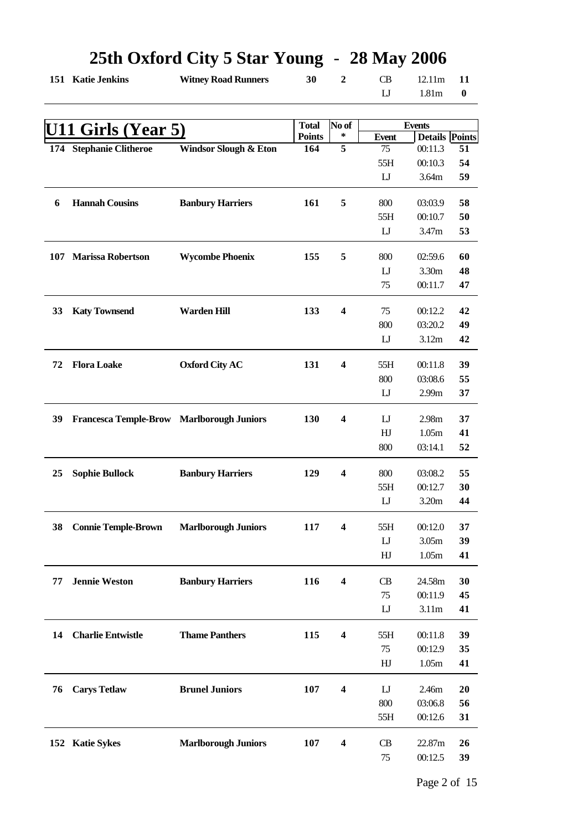|    | 151 Katie Jenkins                         | <b>Witney Road Runners</b> | 30            | $\boldsymbol{2}$        | <b>CB</b>      | 12.11m                | 11               |
|----|-------------------------------------------|----------------------------|---------------|-------------------------|----------------|-----------------------|------------------|
|    |                                           |                            |               |                         | $\mathbf{L}$   | 1.81 <sub>m</sub>     | $\boldsymbol{0}$ |
|    |                                           |                            |               |                         |                |                       |                  |
|    | <b>U11 Girls (Year 5)</b>                 |                            | <b>Total</b>  | No of                   |                | <b>Events</b>         |                  |
|    |                                           |                            | <b>Points</b> | ∗                       | <b>Event</b>   | <b>Details Points</b> |                  |
|    | 174 Stephanie Clitheroe                   | Windsor Slough & Eton      | 164           | $\overline{5}$          | 75             | 00:11.3               | 51               |
|    |                                           |                            |               |                         | 55H            | 00:10.3               | 54               |
|    |                                           |                            |               |                         | $_{\rm L}$     | 3.64m                 | 59               |
| 6  | <b>Hannah Cousins</b>                     | <b>Banbury Harriers</b>    | 161           | 5                       | 800            | 03:03.9               | 58               |
|    |                                           |                            |               |                         | 55H            | 00:10.7               | 50               |
|    |                                           |                            |               |                         | $_{\text{LJ}}$ | 3.47m                 | 53               |
|    |                                           |                            |               |                         |                |                       |                  |
|    | 107 Marissa Robertson                     | <b>Wycombe Phoenix</b>     | 155           | 5                       | 800            | 02:59.6               | 60               |
|    |                                           |                            |               |                         | $\mathbf{L}$   | 3.30m                 | 48               |
|    |                                           |                            |               |                         | 75             | 00:11.7               | 47               |
|    |                                           |                            |               |                         |                |                       |                  |
| 33 | <b>Katy Townsend</b>                      | <b>Warden Hill</b>         | 133           | 4                       | 75             | 00:12.2               | 42               |
|    |                                           |                            |               |                         | 800            | 03:20.2               | 49               |
|    |                                           |                            |               |                         | $\mathbf{L}$   | 3.12m                 | 42               |
|    |                                           |                            |               |                         |                |                       |                  |
| 72 | <b>Flora Loake</b>                        | <b>Oxford City AC</b>      | 131           | $\overline{\mathbf{4}}$ | 55H            | 00:11.8               | 39               |
|    |                                           |                            |               |                         | 800            | 03:08.6               | 55               |
|    |                                           |                            |               |                         | $\mathbf{L}$   | 2.99m                 | 37               |
|    |                                           |                            |               |                         |                |                       |                  |
| 39 | Francesca Temple-Brow Marlborough Juniors |                            | 130           | 4                       | $\mathbf{L}$   | 2.98m                 | 37               |
|    |                                           |                            |               |                         | HJ             | 1.05m                 | 41               |
|    |                                           |                            |               |                         | 800            | 03:14.1               | 52               |
|    |                                           |                            |               |                         |                |                       |                  |
| 25 | <b>Sophie Bullock</b>                     | <b>Banbury Harriers</b>    | 129           | $\overline{\mathbf{4}}$ | 800            | 03:08.2               | 55               |
|    |                                           |                            |               |                         | 55H            | 00:12.7               | 30               |
|    |                                           |                            |               |                         | $\mathbf{L}$   | 3.20m                 | 44               |
| 38 | <b>Connie Temple-Brown</b>                | <b>Marlborough Juniors</b> | 117           | 4                       | 55H            | 00:12.0               | 37               |
|    |                                           |                            |               |                         | $\mathbf{L}$   | 3.05m                 | 39               |
|    |                                           |                            |               |                         | HJ             | 1.05m                 | 41               |
|    |                                           |                            |               |                         |                |                       |                  |
| 77 | <b>Jennie Weston</b>                      | <b>Banbury Harriers</b>    | 116           | $\overline{\mathbf{4}}$ | CB             | 24.58m                | 30               |
|    |                                           |                            |               |                         | 75             | 00:11.9               | 45               |
|    |                                           |                            |               |                         | $\mathbf{L}$   | 3.11m                 | 41               |
|    |                                           |                            |               |                         |                |                       |                  |
| 14 | <b>Charlie Entwistle</b>                  | <b>Thame Panthers</b>      | 115           | $\overline{\mathbf{4}}$ | 55H            | 00:11.8               | 39               |
|    |                                           |                            |               |                         | 75             | 00:12.9               | 35               |
|    |                                           |                            |               |                         | HJ             | 1.05m                 | 41               |
|    |                                           |                            |               |                         |                |                       |                  |
| 76 | <b>Carys Tetlaw</b>                       | <b>Brunel Juniors</b>      | 107           | $\overline{\mathbf{4}}$ | $\mathbf{U}$   | 2.46m                 | 20               |
|    |                                           |                            |               |                         | 800            | 03:06.8               | 56               |
|    |                                           |                            |               |                         | 55H            | 00:12.6               | 31               |
|    |                                           |                            |               |                         |                | 22.87m                |                  |
|    | 152 Katie Sykes                           | <b>Marlborough Juniors</b> | 107           | $\overline{\mathbf{4}}$ | CB             |                       | 26               |
|    |                                           |                            |               |                         | 75             | 00:12.5               | 39               |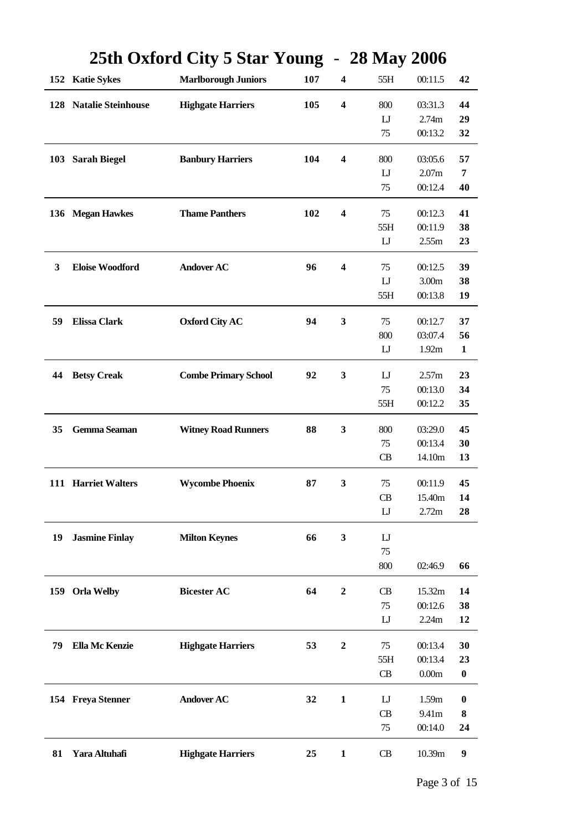|              |                        | $20$ the UA of the UV of $\frac{1}{2}$ |     |                         | $\boldsymbol{z}$ with $\boldsymbol{y}$ $\boldsymbol{z}$ vith |                   |                  |
|--------------|------------------------|----------------------------------------|-----|-------------------------|--------------------------------------------------------------|-------------------|------------------|
|              | 152 Katie Sykes        | <b>Marlborough Juniors</b>             | 107 | $\boldsymbol{4}$        | 55H                                                          | 00:11.5           | 42               |
|              | 128 Natalie Steinhouse | <b>Highgate Harriers</b>               | 105 | $\boldsymbol{4}$        | 800                                                          | 03:31.3           | 44               |
|              |                        |                                        |     |                         | $\mathbf{L}$                                                 | 2.74m             | 29               |
|              |                        |                                        |     |                         | 75                                                           | 00:13.2           | 32               |
|              | 103 Sarah Biegel       | <b>Banbury Harriers</b>                | 104 | $\boldsymbol{4}$        | 800                                                          | 03:05.6           | 57               |
|              |                        |                                        |     |                         | $\mathbf{L}$                                                 | 2.07m             | 7                |
|              |                        |                                        |     |                         | 75                                                           | 00:12.4           | 40               |
|              |                        |                                        |     |                         |                                                              |                   |                  |
|              | 136 Megan Hawkes       | <b>Thame Panthers</b>                  | 102 | $\boldsymbol{4}$        | 75                                                           | 00:12.3           | 41               |
|              |                        |                                        |     |                         | 55H<br>$\mathbf{L}$                                          | 00:11.9<br>2.55m  | 38<br>23         |
|              |                        |                                        |     |                         |                                                              |                   |                  |
| $\mathbf{3}$ | <b>Eloise Woodford</b> | <b>Andover AC</b>                      | 96  | $\overline{\mathbf{4}}$ | 75                                                           | 00:12.5           | 39               |
|              |                        |                                        |     |                         | $\mathbf{L}$                                                 | 3.00 <sub>m</sub> | 38               |
|              |                        |                                        |     |                         | 55H                                                          | 00:13.8           | 19               |
| 59           | <b>Elissa Clark</b>    | <b>Oxford City AC</b>                  | 94  | $\mathbf{3}$            | 75                                                           | 00:12.7           | 37               |
|              |                        |                                        |     |                         | 800                                                          | 03:07.4           | 56               |
|              |                        |                                        |     |                         | $\mathbf{L}$                                                 | 1.92m             | $\mathbf{1}$     |
|              |                        |                                        |     |                         |                                                              |                   |                  |
| 44           | <b>Betsy Creak</b>     | <b>Combe Primary School</b>            | 92  | 3                       | $_{\rm L}$                                                   | 2.57m             | 23               |
|              |                        |                                        |     |                         | 75                                                           | 00:13.0           | 34               |
|              |                        |                                        |     |                         | 55H                                                          | 00:12.2           | 35               |
| 35           | Gemma Seaman           | <b>Witney Road Runners</b>             | 88  | $\mathbf{3}$            | 800                                                          | 03:29.0           | 45               |
|              |                        |                                        |     |                         | 75                                                           | 00:13.4           | 30               |
|              |                        |                                        |     |                         | CB                                                           | 14.10m            | 13               |
|              |                        |                                        |     |                         |                                                              |                   |                  |
|              | 111 Harriet Walters    | <b>Wycombe Phoenix</b>                 | 87  | $\mathbf{3}$            | 75                                                           | 00:11.9           | 45               |
|              |                        |                                        |     |                         | CB                                                           | 15.40m            | 14               |
|              |                        |                                        |     |                         | $\mathbf{L}$                                                 | 2.72m             | 28               |
| 19           | <b>Jasmine Finlay</b>  | <b>Milton Keynes</b>                   | 66  | $\mathbf{3}$            | $_{\rm L}$                                                   |                   |                  |
|              |                        |                                        |     |                         | 75                                                           |                   |                  |
|              |                        |                                        |     |                         | 800                                                          | 02:46.9           | 66               |
| 159          | <b>Orla Welby</b>      | <b>Bicester AC</b>                     | 64  | $\boldsymbol{2}$        | CB                                                           | 15.32m            | 14               |
|              |                        |                                        |     |                         | 75                                                           | 00:12.6           | 38               |
|              |                        |                                        |     |                         | $\mathbf{U}$                                                 | 2.24m             | 12               |
|              |                        |                                        |     |                         |                                                              |                   |                  |
| 79           | <b>Ella Mc Kenzie</b>  | <b>Highgate Harriers</b>               | 53  | $\boldsymbol{2}$        | 75                                                           | 00:13.4           | 30               |
|              |                        |                                        |     |                         | 55H                                                          | 00:13.4           | 23               |
|              |                        |                                        |     |                         | CB                                                           | 0.00m             | $\boldsymbol{0}$ |
|              | 154 Freya Stenner      | <b>Andover AC</b>                      | 32  | $\mathbf{1}$            | $_{\text{LJ}}$                                               | 1.59m             | $\boldsymbol{0}$ |
|              |                        |                                        |     |                         | CB                                                           | 9.41m             | 8                |
|              |                        |                                        |     |                         | 75                                                           | 00:14.0           | 24               |
| 81           | Yara Altuhafi          | <b>Highgate Harriers</b>               | 25  | $\mathbf{1}$            | CB                                                           | 10.39m            | $\boldsymbol{9}$ |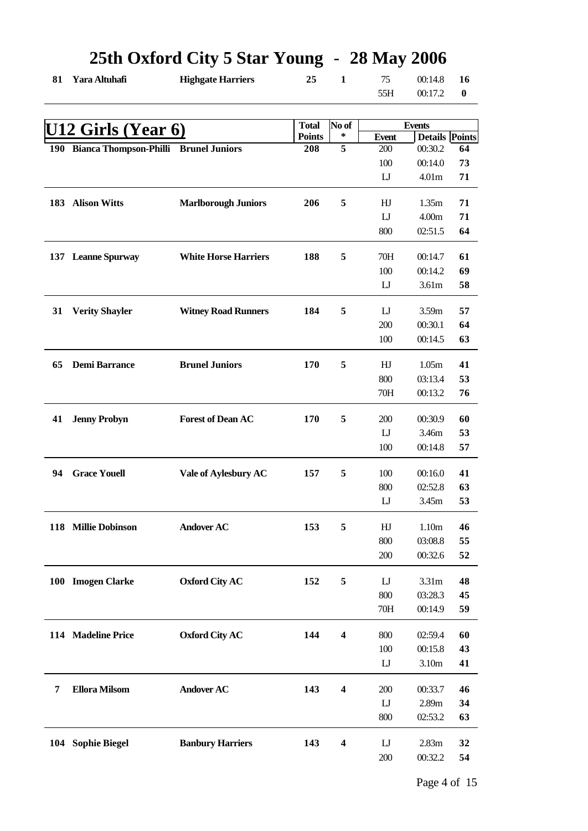| 81 | Yara Altuhafi                             | <b>Highgate Harriers</b>    | $- - - - -$<br>25 | $\mathbf{1}$            | 75<br>55H              | 00:14.8<br>00:17.2    | 16<br>$\boldsymbol{0}$ |
|----|-------------------------------------------|-----------------------------|-------------------|-------------------------|------------------------|-----------------------|------------------------|
|    |                                           |                             |                   |                         |                        |                       |                        |
|    | U12 Girls (Year 6)                        |                             | <b>Total</b>      | No of                   |                        | <b>Events</b>         |                        |
|    |                                           |                             | <b>Points</b>     | ∗                       | <b>Event</b>           | <b>Details Points</b> |                        |
|    | 190 Bianca Thompson-Philli Brunel Juniors |                             | 208               | $\overline{5}$          | 200                    | 00:30.2               | 64                     |
|    |                                           |                             |                   |                         | 100                    | 00:14.0               | 73                     |
|    |                                           |                             |                   |                         | $\mathbf{L}$           | 4.01 <sub>m</sub>     | 71                     |
|    | 183 Alison Witts                          | <b>Marlborough Juniors</b>  | 206               | 5                       | HJ                     | 1.35m                 | 71                     |
|    |                                           |                             |                   |                         | $\mathbf{L}$           | 4.00m                 | 71                     |
|    |                                           |                             |                   |                         | 800                    | 02:51.5               | 64                     |
|    | 137 Leanne Spurway                        | <b>White Horse Harriers</b> | 188               | 5                       | 70H                    | 00:14.7               | 61                     |
|    |                                           |                             |                   |                         | 100                    | 00:14.2               | 69                     |
|    |                                           |                             |                   |                         | $\mathbf{L}$           | 3.61m                 | 58                     |
| 31 | <b>Verity Shayler</b>                     | <b>Witney Road Runners</b>  | 184               | 5                       | $\mathbf{L}$           | 3.59m                 | 57                     |
|    |                                           |                             |                   |                         | 200                    | 00:30.1               | 64                     |
|    |                                           |                             |                   |                         | 100                    | 00:14.5               | 63                     |
| 65 |                                           |                             |                   | 5                       |                        |                       |                        |
|    | <b>Demi Barrance</b>                      | <b>Brunel Juniors</b>       | 170               |                         | HJ                     | 1.05m                 | 41                     |
|    |                                           |                             |                   |                         | 800<br>70H             | 03:13.4<br>00:13.2    | 53<br>76               |
|    |                                           |                             |                   |                         |                        |                       |                        |
| 41 | <b>Jenny Probyn</b>                       | <b>Forest of Dean AC</b>    | 170               | 5                       | 200                    | 00:30.9               | 60                     |
|    |                                           |                             |                   |                         | $\mathbf{L}\mathbf{J}$ | 3.46m                 | 53                     |
|    |                                           |                             |                   |                         | 100                    | 00:14.8               | 57                     |
| 94 | <b>Grace Youell</b>                       | Vale of Aylesbury AC        | 157               | 5                       | 100                    | 00:16.0               | 41                     |
|    |                                           |                             |                   |                         | 800                    | 02:52.8               | 63                     |
|    |                                           |                             |                   |                         | $\mathbf{L}$           | 3.45m                 | 53                     |
|    | 118 Millie Dobinson                       | <b>Andover AC</b>           | 153               | 5                       | HJ                     | 1.10m                 | 46                     |
|    |                                           |                             |                   |                         | 800                    | 03:08.8               | 55                     |
|    |                                           |                             |                   |                         | 200                    | 00:32.6               | 52                     |
|    | 100 Imogen Clarke                         | <b>Oxford City AC</b>       | 152               | 5                       | $\mathbf{L}$           | 3.31 <sub>m</sub>     | 48                     |
|    |                                           |                             |                   |                         | 800                    | 03:28.3               | 45                     |
|    |                                           |                             |                   |                         | 70H                    | 00:14.9               | 59                     |
|    | 114 Madeline Price                        | <b>Oxford City AC</b>       | 144               | 4                       | 800                    | 02:59.4               | 60                     |
|    |                                           |                             |                   |                         | 100                    | 00:15.8               | 43                     |
|    |                                           |                             |                   |                         | $\mathbf{L}$           | 3.10m                 | 41                     |
|    |                                           |                             |                   |                         |                        |                       |                        |
| 7  | <b>Ellora Milsom</b>                      | <b>Andover AC</b>           | 143               | $\overline{\mathbf{4}}$ | 200                    | 00:33.7               | 46                     |
|    |                                           |                             |                   |                         | $\mathbf{L}$           | 2.89m                 | 34                     |
|    |                                           |                             |                   |                         | 800                    | 02:53.2               | 63                     |
|    | 104 Sophie Biegel                         | <b>Banbury Harriers</b>     | 143               | $\overline{\mathbf{4}}$ | $\mathbf{L}$           | 2.83m                 | 32                     |
|    |                                           |                             |                   |                         | 200                    | 00:32.2               | 54                     |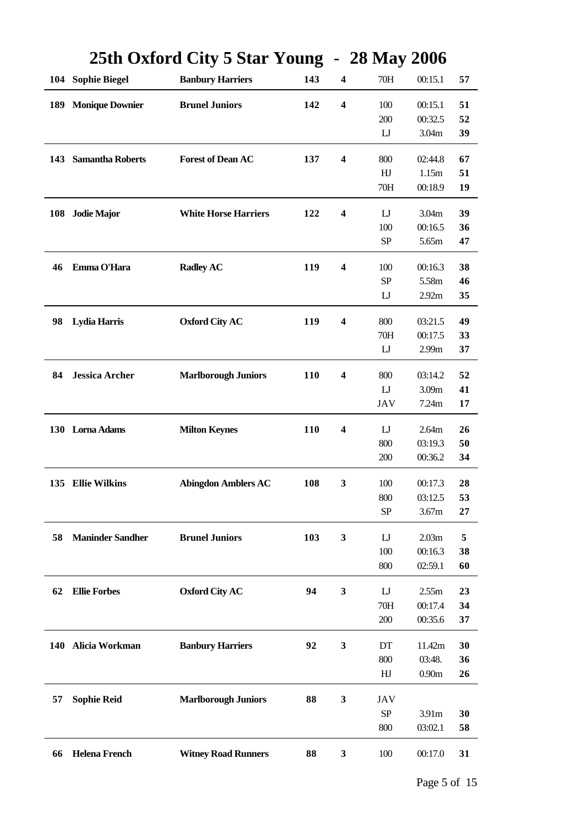|            |                         | $25$ th Oarol a Chy $5$ Dial Toung |     |                         | $\boldsymbol{\mu}$ in $\boldsymbol{\mu}$ $\boldsymbol{\mu}$ $\boldsymbol{\nu}$ in $\boldsymbol{\mu}$ |         |    |
|------------|-------------------------|------------------------------------|-----|-------------------------|------------------------------------------------------------------------------------------------------|---------|----|
|            | 104 Sophie Biegel       | <b>Banbury Harriers</b>            | 143 | $\boldsymbol{4}$        | 70H                                                                                                  | 00:15.1 | 57 |
| 189        | <b>Monique Downier</b>  | <b>Brunel Juniors</b>              | 142 | $\overline{\mathbf{4}}$ | 100                                                                                                  | 00:15.1 | 51 |
|            |                         |                                    |     |                         | 200                                                                                                  | 00:32.5 | 52 |
|            |                         |                                    |     |                         | $\mathbf{L}$                                                                                         | 3.04m   | 39 |
| 143        | <b>Samantha Roberts</b> | <b>Forest of Dean AC</b>           | 137 | $\boldsymbol{4}$        | 800                                                                                                  | 02:44.8 | 67 |
|            |                         |                                    |     |                         | HJ                                                                                                   | 1.15m   | 51 |
|            |                         |                                    |     |                         | 70H                                                                                                  | 00:18.9 | 19 |
|            | 108 Jodie Major         | <b>White Horse Harriers</b>        | 122 | 4                       | $\mathbf{L}$                                                                                         | 3.04m   | 39 |
|            |                         |                                    |     |                         | 100                                                                                                  | 00:16.5 | 36 |
|            |                         |                                    |     |                         | SP                                                                                                   | 5.65m   | 47 |
|            |                         |                                    |     |                         |                                                                                                      |         |    |
| 46         | Emma O'Hara             | <b>Radley AC</b>                   | 119 | $\overline{\mathbf{4}}$ | 100                                                                                                  | 00:16.3 | 38 |
|            |                         |                                    |     |                         | <b>SP</b>                                                                                            | 5.58m   | 46 |
|            |                         |                                    |     |                         | $\mathbf{U}$                                                                                         | 2.92m   | 35 |
| 98         | <b>Lydia Harris</b>     | <b>Oxford City AC</b>              | 119 | $\boldsymbol{4}$        | 800                                                                                                  | 03:21.5 | 49 |
|            |                         |                                    |     |                         | 70H                                                                                                  | 00:17.5 | 33 |
|            |                         |                                    |     |                         | $\mathbf{L}\mathbf{J}$                                                                               | 2.99m   | 37 |
| 84         | <b>Jessica Archer</b>   | <b>Marlborough Juniors</b>         | 110 | $\overline{\mathbf{4}}$ | 800                                                                                                  | 03:14.2 | 52 |
|            |                         |                                    |     |                         | $\mathbf{L}$                                                                                         | 3.09m   | 41 |
|            |                         |                                    |     |                         | JAV                                                                                                  | 7.24m   | 17 |
|            |                         |                                    |     |                         |                                                                                                      |         |    |
|            | 130 Lorna Adams         | <b>Milton Keynes</b>               | 110 | $\boldsymbol{4}$        | $\mathbf{L}$                                                                                         | 2.64m   | 26 |
|            |                         |                                    |     |                         | 800                                                                                                  | 03:19.3 | 50 |
|            |                         |                                    |     |                         | 200                                                                                                  | 00:36.2 | 34 |
|            | 135 Ellie Wilkins       | <b>Abingdon Amblers AC</b>         | 108 | 3                       | 100                                                                                                  | 00:17.3 | 28 |
|            |                         |                                    |     |                         | 800                                                                                                  | 03:12.5 | 53 |
|            |                         |                                    |     |                         | <b>SP</b>                                                                                            | 3.67m   | 27 |
| 58         | <b>Maninder Sandher</b> | <b>Brunel Juniors</b>              | 103 | 3                       | $\mathbf{L}$                                                                                         | 2.03m   | 5  |
|            |                         |                                    |     |                         | 100                                                                                                  | 00:16.3 | 38 |
|            |                         |                                    |     |                         | 800                                                                                                  | 02:59.1 | 60 |
|            |                         |                                    |     |                         |                                                                                                      |         |    |
| 62         | <b>Ellie Forbes</b>     | <b>Oxford City AC</b>              | 94  | $\mathbf{3}$            | $_{\rm L}$                                                                                           | 2.55m   | 23 |
|            |                         |                                    |     |                         | 70H                                                                                                  | 00:17.4 | 34 |
|            |                         |                                    |     |                         | 200                                                                                                  | 00:35.6 | 37 |
| <b>140</b> | Alicia Workman          | <b>Banbury Harriers</b>            | 92  | 3                       | DT                                                                                                   | 11.42m  | 30 |
|            |                         |                                    |     |                         | 800                                                                                                  | 03:48.  | 36 |
|            |                         |                                    |     |                         | HJ                                                                                                   | 0.90m   | 26 |
| 57         | <b>Sophie Reid</b>      | <b>Marlborough Juniors</b>         | 88  | 3                       | JAV                                                                                                  |         |    |
|            |                         |                                    |     |                         | <b>SP</b>                                                                                            | 3.91m   | 30 |
|            |                         |                                    |     |                         | 800                                                                                                  | 03:02.1 | 58 |
| 66         | <b>Helena French</b>    | <b>Witney Road Runners</b>         | 88  | 3                       | 100                                                                                                  | 00:17.0 | 31 |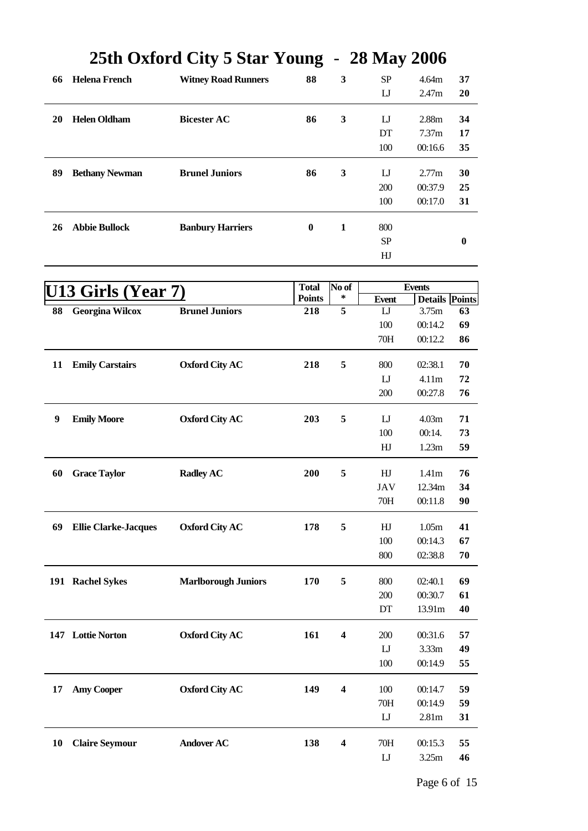| 66 | <b>Helena French</b>  | <b>Witney Road Runners</b> | 88       | 3 | <b>SP</b> | 4.64m             | 37 |
|----|-----------------------|----------------------------|----------|---|-----------|-------------------|----|
|    |                       |                            |          |   |           |                   |    |
|    |                       |                            |          |   | IJ        | 2.47m             | 20 |
|    |                       |                            |          |   |           |                   |    |
| 20 | <b>Helen Oldham</b>   | <b>Bicester AC</b>         | 86       | 3 | IJ        | 2.88m             | 34 |
|    |                       |                            |          |   | DT        | 7.37 <sub>m</sub> | 17 |
|    |                       |                            |          |   | 100       | 00:16.6           | 35 |
| 89 | <b>Bethany Newman</b> | <b>Brunel Juniors</b>      | 86       | 3 | IJ        | 2.77m             | 30 |
|    |                       |                            |          |   |           |                   |    |
|    |                       |                            |          |   | 200       | 00:37.9           | 25 |
|    |                       |                            |          |   | 100       | 00:17.0           | 31 |
| 26 | <b>Abbie Bullock</b>  | <b>Banbury Harriers</b>    | $\bf{0}$ | 1 | 800       |                   |    |
|    |                       |                            |          |   | <b>SP</b> |                   | 0  |
|    |                       |                            |          |   |           |                   |    |
|    |                       |                            |          |   | HJ        |                   |    |

|    | <u>13 Girls (Year 7)</u>    |                            | <b>Total</b>  | No of                   |                        | <b>Events</b>         |    |
|----|-----------------------------|----------------------------|---------------|-------------------------|------------------------|-----------------------|----|
|    |                             |                            | <b>Points</b> | ∗                       | <b>Event</b>           | <b>Details Points</b> |    |
| 88 | <b>Georgina Wilcox</b>      | <b>Brunel Juniors</b>      | 218           | $\overline{5}$          | IJ                     | 3.75m                 | 63 |
|    |                             |                            |               |                         | 100                    | 00:14.2               | 69 |
|    |                             |                            |               |                         | 70H                    | 00:12.2               | 86 |
| 11 | <b>Emily Carstairs</b>      | <b>Oxford City AC</b>      | 218           | 5                       | 800                    | 02:38.1               | 70 |
|    |                             |                            |               |                         | $\mathbf{L}$           | 4.11m                 | 72 |
|    |                             |                            |               |                         | 200                    | 00:27.8               | 76 |
| 9  | <b>Emily Moore</b>          | <b>Oxford City AC</b>      | 203           | 5                       | $_{\text{LJ}}$         | 4.03m                 | 71 |
|    |                             |                            |               |                         | 100                    | 00:14.                | 73 |
|    |                             |                            |               |                         | HJ                     | 1.23m                 | 59 |
| 60 | <b>Grace Taylor</b>         | <b>Radley AC</b>           | 200           | 5                       | HJ                     | 1.41m                 | 76 |
|    |                             |                            |               |                         | <b>JAV</b>             | 12.34m                | 34 |
|    |                             |                            |               |                         | 70H                    | 00:11.8               | 90 |
| 69 | <b>Ellie Clarke-Jacques</b> | <b>Oxford City AC</b>      | 178           | 5                       | HJ                     | 1.05m                 | 41 |
|    |                             |                            |               |                         | 100                    | 00:14.3               | 67 |
|    |                             |                            |               |                         | 800                    | 02:38.8               | 70 |
|    | 191 Rachel Sykes            | <b>Marlborough Juniors</b> | 170           | 5                       | 800                    | 02:40.1               | 69 |
|    |                             |                            |               |                         | 200                    | 00:30.7               | 61 |
|    |                             |                            |               |                         | DT                     | 13.91m                | 40 |
|    | 147 Lottie Norton           | <b>Oxford City AC</b>      | 161           | 4                       | 200                    | 00:31.6               | 57 |
|    |                             |                            |               |                         | $\mathbf{L}\mathbf{J}$ | 3.33m                 | 49 |
|    |                             |                            |               |                         | 100                    | 00:14.9               | 55 |
| 17 | <b>Amy Cooper</b>           | <b>Oxford City AC</b>      | 149           | $\overline{\mathbf{4}}$ | 100                    | 00:14.7               | 59 |
|    |                             |                            |               |                         | 70H                    | 00:14.9               | 59 |
|    |                             |                            |               |                         | $\mathbf{U}$           | 2.81 <sub>m</sub>     | 31 |
| 10 | <b>Claire Seymour</b>       | <b>Andover AC</b>          | 138           | $\overline{\mathbf{4}}$ | 70H                    | 00:15.3               | 55 |
|    |                             |                            |               |                         | $\mathbf{L}$           | 3.25m                 | 46 |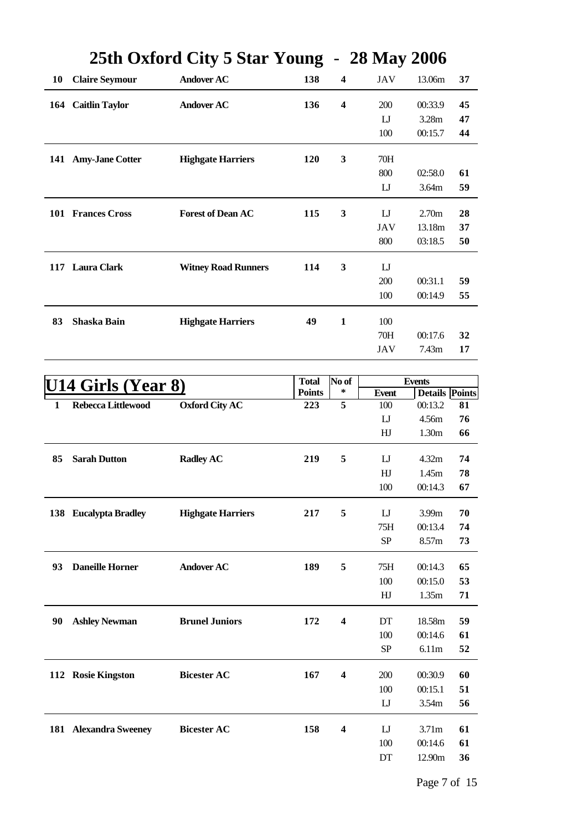|              |                            | $20$ the UA of the UV of $\frac{1}{2}$ |               |                         | $\boldsymbol{z}$ with $\boldsymbol{y}$ $\boldsymbol{z}$ vith |                       |    |
|--------------|----------------------------|----------------------------------------|---------------|-------------------------|--------------------------------------------------------------|-----------------------|----|
| <b>10</b>    | <b>Claire Seymour</b>      | <b>Andover AC</b>                      | 138           | $\boldsymbol{4}$        | JAV                                                          | 13.06m                | 37 |
|              | 164 Caitlin Taylor         | <b>Andover AC</b>                      | 136           | $\boldsymbol{4}$        | 200                                                          | 00:33.9               | 45 |
|              |                            |                                        |               |                         | $_{\text{LJ}}$                                               | 3.28m                 | 47 |
|              |                            |                                        |               |                         | 100                                                          | 00:15.7               | 44 |
|              |                            |                                        |               |                         |                                                              |                       |    |
|              | 141 Amy-Jane Cotter        | <b>Highgate Harriers</b>               | 120           | 3                       | 70H                                                          |                       |    |
|              |                            |                                        |               |                         | 800                                                          | 02:58.0               | 61 |
|              |                            |                                        |               |                         | $\mathbf{L}$                                                 | 3.64m                 | 59 |
|              | 101 Frances Cross          | <b>Forest of Dean AC</b>               | 115           | 3                       | $_{\text{LJ}}$                                               | 2.70m                 | 28 |
|              |                            |                                        |               |                         | <b>JAV</b>                                                   | 13.18m                | 37 |
|              |                            |                                        |               |                         | 800                                                          | 03:18.5               | 50 |
|              | 117 Laura Clark            | <b>Witney Road Runners</b>             | 114           | $\mathbf{3}$            | $\mathbf{L}$                                                 |                       |    |
|              |                            |                                        |               |                         | 200                                                          | 00:31.1               | 59 |
|              |                            |                                        |               |                         | 100                                                          | 00:14.9               | 55 |
|              |                            |                                        |               |                         |                                                              |                       |    |
| 83           | Shaska Bain                | <b>Highgate Harriers</b>               | 49            | $\mathbf{1}$            | 100                                                          |                       |    |
|              |                            |                                        |               |                         | 70H                                                          | 00:17.6               | 32 |
|              |                            |                                        |               |                         | <b>JAV</b>                                                   | 7.43m                 | 17 |
|              |                            |                                        |               |                         |                                                              |                       |    |
|              | <u> U14 Girls (Year 8)</u> |                                        | <b>Total</b>  | No of                   |                                                              | <b>Events</b>         |    |
|              |                            |                                        | <b>Points</b> | ∗                       | <b>Event</b>                                                 | <b>Details Points</b> |    |
| $\mathbf{1}$ | Rebecca Littlewood         | <b>Oxford City AC</b>                  | 223           | $\overline{5}$          | 100                                                          | 00:13.2               | 81 |
|              |                            |                                        |               |                         | $\mathbf{U}$                                                 | 4.56m                 | 76 |
|              |                            |                                        |               |                         | HJ                                                           | 1.30m                 | 66 |
| 85           | <b>Sarah Dutton</b>        | <b>Radley AC</b>                       | 219           | 5                       | $_{\rm L}$                                                   | 4.32m                 | 74 |
|              |                            |                                        |               |                         | HJ                                                           | 1.45m                 | 78 |
|              |                            |                                        |               |                         | 100                                                          | 00:14.3               | 67 |
|              | 138 Eucalypta Bradley      | <b>Highgate Harriers</b>               | 217           | 5                       | IJ                                                           | 3.99m                 | 70 |
|              |                            |                                        |               |                         | 75H                                                          | 00:13.4               | 74 |
|              |                            |                                        |               |                         | ${\rm SP}$                                                   | 8.57m                 | 73 |
|              |                            |                                        |               |                         |                                                              |                       |    |
| 93           | <b>Daneille Horner</b>     | <b>Andover AC</b>                      | 189           | 5                       | 75H                                                          | 00:14.3               | 65 |
|              |                            |                                        |               |                         | 100                                                          | 00:15.0               | 53 |
|              |                            |                                        |               |                         | HJ                                                           | 1.35m                 | 71 |
| 90           | <b>Ashley Newman</b>       | <b>Brunel Juniors</b>                  | 172           | $\overline{\mathbf{4}}$ | DT                                                           | 18.58m                | 59 |
|              |                            |                                        |               |                         | 100                                                          | 00:14.6               | 61 |
|              |                            |                                        |               |                         | SP                                                           | 6.11m                 | 52 |
|              |                            |                                        |               |                         |                                                              |                       |    |
|              | 112 Rosie Kingston         | <b>Bicester AC</b>                     | 167           | $\boldsymbol{4}$        | 200                                                          | 00:30.9               | 60 |
|              |                            |                                        |               |                         | 100                                                          | 00:15.1               | 51 |
|              |                            |                                        |               |                         | $_{\text{LJ}}$                                               | 3.54m                 | 56 |
|              | 181 Alexandra Sweeney      | <b>Bicester AC</b>                     | 158           | $\boldsymbol{4}$        | IJ                                                           | 3.71m                 | 61 |
|              |                            |                                        |               |                         | 100                                                          | 00:14.6               | 61 |
|              |                            |                                        |               |                         | $\mathop{\rm DT}\nolimits$                                   | 12.90m                | 36 |
|              |                            |                                        |               |                         |                                                              |                       |    |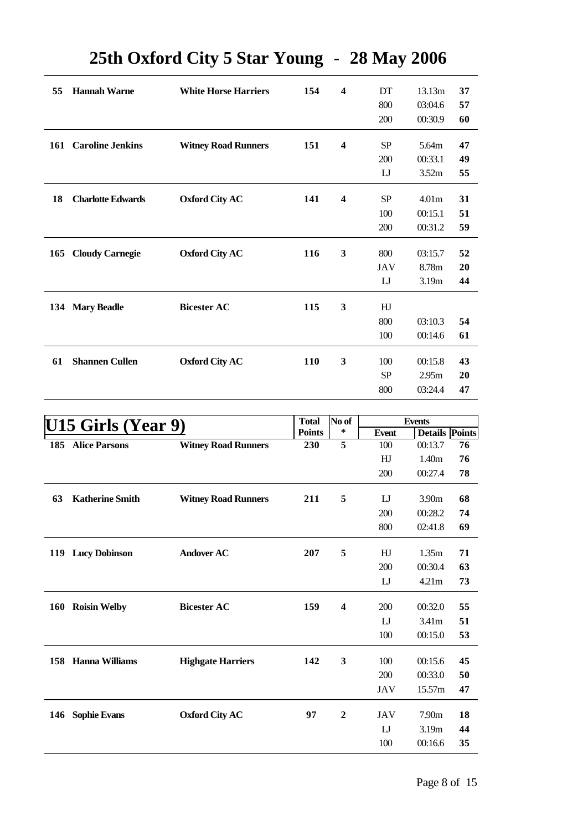| 55  | <b>Hannah Warne</b>      | <b>White Horse Harriers</b> | 154 | $\boldsymbol{4}$        | DT             | 13.13m            | 37 |
|-----|--------------------------|-----------------------------|-----|-------------------------|----------------|-------------------|----|
|     |                          |                             |     |                         | 800            | 03:04.6           | 57 |
|     |                          |                             |     |                         | 200            | 00:30.9           | 60 |
|     | 161 Caroline Jenkins     | <b>Witney Road Runners</b>  | 151 | $\overline{\mathbf{4}}$ | <b>SP</b>      | 5.64m             | 47 |
|     |                          |                             |     |                         | 200            | 00:33.1           | 49 |
|     |                          |                             |     |                         | $_{\text{L}}$  | 3.52m             | 55 |
| 18  | <b>Charlotte Edwards</b> | <b>Oxford City AC</b>       | 141 | $\overline{\mathbf{4}}$ | SP             | 4.01 <sub>m</sub> | 31 |
|     |                          |                             |     |                         | 100            | 00:15.1           | 51 |
|     |                          |                             |     |                         | 200            | 00:31.2           | 59 |
|     |                          |                             |     |                         |                |                   |    |
| 165 | <b>Cloudy Carnegie</b>   | <b>Oxford City AC</b>       | 116 | 3                       | 800            | 03:15.7           | 52 |
|     |                          |                             |     |                         | <b>JAV</b>     | 8.78m             | 20 |
|     |                          |                             |     |                         | $_{\text{LJ}}$ | 3.19m             | 44 |
| 134 | <b>Mary Beadle</b>       | <b>Bicester AC</b>          | 115 | $\mathbf{3}$            | HJ             |                   |    |
|     |                          |                             |     |                         | 800            | 03:10.3           | 54 |
|     |                          |                             |     |                         | 100            | 00:14.6           | 61 |
| 61  | <b>Shannen Cullen</b>    | <b>Oxford City AC</b>       | 110 | $\mathbf{3}$            | 100            | 00:15.8           | 43 |
|     |                          |                             |     |                         | SP             | 2.95m             | 20 |
|     |                          |                             |     |                         |                |                   |    |
|     |                          |                             |     |                         | 800            | 03:24.4           | 47 |

|     | U15 Girls (Year 9)     |                            | <b>Total</b>  | No of                   |                | <b>Events</b> |                       |
|-----|------------------------|----------------------------|---------------|-------------------------|----------------|---------------|-----------------------|
|     |                        |                            | <b>Points</b> | ∗                       | <b>Event</b>   |               | <b>Details Points</b> |
| 185 | <b>Alice Parsons</b>   | <b>Witney Road Runners</b> | 230           | 5                       | 100            | 00:13.7       | 76                    |
|     |                        |                            |               |                         | HJ             | 1.40m         | 76                    |
|     |                        |                            |               |                         | 200            | 00:27.4       | 78                    |
| 63  | <b>Katherine Smith</b> | <b>Witney Road Runners</b> | 211           | 5                       | IJ             | 3.90m         | 68                    |
|     |                        |                            |               |                         | 200            | 00:28.2       | 74                    |
|     |                        |                            |               |                         | 800            | 02:41.8       | 69                    |
| 119 | <b>Lucy Dobinson</b>   | <b>Andover AC</b>          | 207           | 5                       | H <sub>J</sub> | 1.35m         | 71                    |
|     |                        |                            |               |                         | 200            | 00:30.4       | 63                    |
|     |                        |                            |               |                         | IJ             | 4.21m         | 73                    |
| 160 | <b>Roisin Welby</b>    | <b>Bicester AC</b>         | 159           | $\overline{\mathbf{4}}$ | 200            | 00:32.0       | 55                    |
|     |                        |                            |               |                         | $_{\rm LI}$    | 3.41m         | 51                    |
|     |                        |                            |               |                         | 100            | 00:15.0       | 53                    |
| 158 | Hanna Williams         | <b>Highgate Harriers</b>   | 142           | 3                       | 100            | 00:15.6       | 45                    |
|     |                        |                            |               |                         | 200            | 00:33.0       | 50                    |
|     |                        |                            |               |                         | <b>JAV</b>     | 15.57m        | 47                    |
| 146 | <b>Sophie Evans</b>    | <b>Oxford City AC</b>      | 97            | $\mathbf{2}$            | JAV            | 7.90m         | 18                    |
|     |                        |                            |               |                         | $_{\text{LJ}}$ | 3.19m         | 44                    |
|     |                        |                            |               |                         | 100            | 00:16.6       | 35                    |
|     |                        |                            |               |                         |                |               |                       |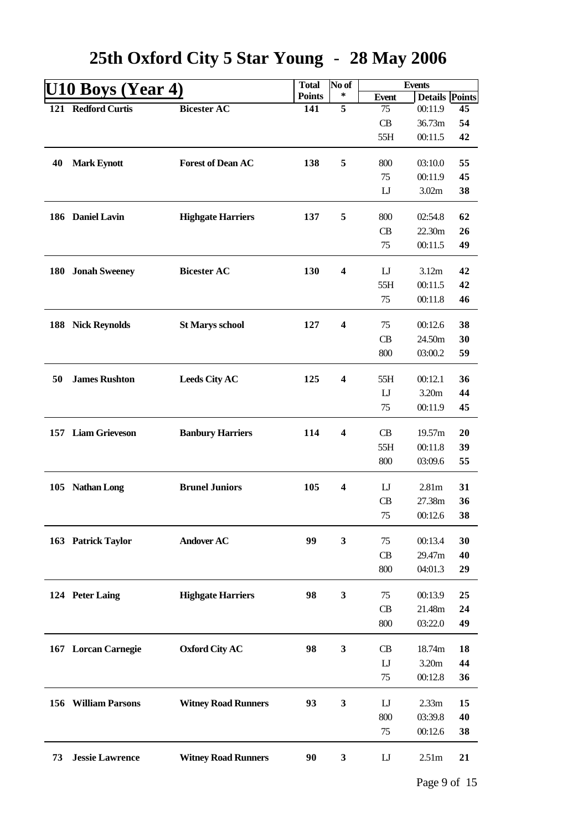|     | U10 Boys (Year 4)          |                            | <b>Total</b>  | No of                   |                | <b>Events</b>         |    |
|-----|----------------------------|----------------------------|---------------|-------------------------|----------------|-----------------------|----|
|     |                            |                            | <b>Points</b> | ∗                       | <b>Event</b>   | <b>Details Points</b> |    |
|     | 121 Redford Curtis         | <b>Bicester AC</b>         | 141           | $\overline{5}$          | 75             | 00:11.9               | 45 |
|     |                            |                            |               |                         | CB             | 36.73m                | 54 |
|     |                            |                            |               |                         | 55H            | 00:11.5               | 42 |
|     |                            |                            |               |                         |                |                       |    |
| 40  | <b>Mark Eynott</b>         | <b>Forest of Dean AC</b>   | 138           | 5                       | 800            | 03:10.0               | 55 |
|     |                            |                            |               |                         | 75             | 00:11.9               | 45 |
|     |                            |                            |               |                         | $\mathbf{L}$   | 3.02m                 | 38 |
|     | 186 Daniel Lavin           | <b>Highgate Harriers</b>   | 137           | 5                       | 800            | 02:54.8               | 62 |
|     |                            |                            |               |                         | CB             | 22.30m                | 26 |
|     |                            |                            |               |                         | 75             | 00:11.5               | 49 |
|     |                            |                            |               |                         |                |                       |    |
| 180 | <b>Jonah Sweeney</b>       | <b>Bicester AC</b>         | 130           | $\overline{\mathbf{4}}$ | $_{\text{LJ}}$ | 3.12m                 | 42 |
|     |                            |                            |               |                         | 55H            | 00:11.5               | 42 |
|     |                            |                            |               |                         | 75             | 00:11.8               | 46 |
|     |                            |                            |               |                         |                |                       |    |
|     | 188 Nick Reynolds          | <b>St Marys school</b>     | 127           | $\boldsymbol{4}$        | 75             | 00:12.6               | 38 |
|     |                            |                            |               |                         | CB             | 24.50m                | 30 |
|     |                            |                            |               |                         | 800            | 03:00.2               | 59 |
|     |                            |                            |               |                         |                |                       |    |
| 50  | <b>James Rushton</b>       | <b>Leeds City AC</b>       | 125           | 4                       | 55H            | 00:12.1               | 36 |
|     |                            |                            |               |                         | $\mathbf{L}$   | 3.20m                 | 44 |
|     |                            |                            |               |                         | 75             | 00:11.9               | 45 |
|     | 157 Liam Grieveson         | <b>Banbury Harriers</b>    | 114           | $\overline{\mathbf{4}}$ | <b>CB</b>      | 19.57m                | 20 |
|     |                            |                            |               |                         | 55H            | 00:11.8               | 39 |
|     |                            |                            |               |                         | 800            | 03:09.6               | 55 |
|     |                            |                            |               |                         |                |                       |    |
|     | 105 Nathan Long            | <b>Brunel Juniors</b>      | 105           | $\overline{\mathbf{4}}$ | $\mathbf{L}$   | 2.81 <sub>m</sub>     | 31 |
|     |                            |                            |               |                         | CB             | 27.38m                | 36 |
|     |                            |                            |               |                         | 75             | 00:12.6               | 38 |
|     |                            |                            |               |                         |                |                       |    |
|     | 163 Patrick Taylor         | <b>Andover AC</b>          | 99            | 3                       | 75             | 00:13.4               | 30 |
|     |                            |                            |               |                         | CB             | 29.47m                | 40 |
|     |                            |                            |               |                         | 800            | 04:01.3               | 29 |
|     |                            |                            |               |                         |                |                       |    |
|     | 124 Peter Laing            | <b>Highgate Harriers</b>   | 98            | $\mathbf{3}$            | 75             | 00:13.9               | 25 |
|     |                            |                            |               |                         | CB             | 21.48m                | 24 |
|     |                            |                            |               |                         | 800            | 03:22.0               | 49 |
|     |                            | <b>Oxford City AC</b>      | 98            | 3                       | CB             | 18.74m                | 18 |
|     | 167 Lorcan Carnegie        |                            |               |                         | $\mathbf{L}$   | 3.20m                 | 44 |
|     |                            |                            |               |                         |                |                       |    |
|     |                            |                            |               |                         | 75             | 00:12.8               | 36 |
|     | <b>156 William Parsons</b> | <b>Witney Road Runners</b> | 93            | $\mathbf{3}$            | $\mathbf{L}$   | 2.33m                 | 15 |
|     |                            |                            |               |                         | 800            | 03:39.8               | 40 |
|     |                            |                            |               |                         | 75             | 00:12.6               | 38 |
|     |                            |                            |               |                         |                |                       |    |
| 73  | <b>Jessie Lawrence</b>     | <b>Witney Road Runners</b> | 90            | $\mathbf{3}$            | $\mathbf{L}$   | 2.51m                 | 21 |
|     |                            |                            |               |                         |                |                       |    |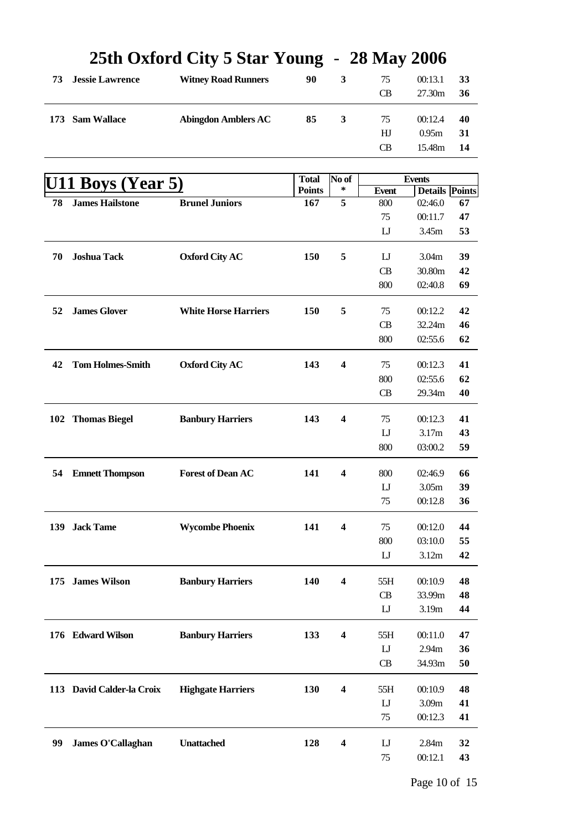|     |                           | 25th Oxford City 5 Star Young – 28 May 2000 |               |                         |                |                       |    |
|-----|---------------------------|---------------------------------------------|---------------|-------------------------|----------------|-----------------------|----|
| 73  | <b>Jessie Lawrence</b>    | <b>Witney Road Runners</b>                  | 90            | 3                       | 75             | 00:13.1               | 33 |
|     |                           |                                             |               |                         | <b>CB</b>      | 27.30m                | 36 |
| 173 | <b>Sam Wallace</b>        | <b>Abingdon Amblers AC</b>                  | 85            | 3                       | 75             | 00:12.4               | 40 |
|     |                           |                                             |               |                         | HJ             | 0.95m                 | 31 |
|     |                           |                                             |               |                         | <b>CB</b>      | 15.48m                | 14 |
|     |                           |                                             |               |                         |                |                       |    |
|     |                           |                                             | <b>Total</b>  | No of                   |                | <b>Events</b>         |    |
|     | U11 Boys (Year 5)         |                                             | <b>Points</b> | ∗                       | <b>Event</b>   | <b>Details</b> Points |    |
| 78  | <b>James Hailstone</b>    | <b>Brunel Juniors</b>                       | 167           | $\overline{5}$          | 800            | 02:46.0               | 67 |
|     |                           |                                             |               |                         | 75             | 00:11.7               | 47 |
|     |                           |                                             |               |                         | $_{\text{LJ}}$ | 3.45m                 | 53 |
| 70  | <b>Joshua Tack</b>        | <b>Oxford City AC</b>                       | 150           | 5                       | $\mathbf{L}$   | 3.04m                 | 39 |
|     |                           |                                             |               |                         | <b>CB</b>      | 30.80m                | 42 |
|     |                           |                                             |               |                         | 800            | 02:40.8               | 69 |
| 52  | <b>James Glover</b>       | <b>White Horse Harriers</b>                 | 150           | 5                       | 75             | 00:12.2               | 42 |
|     |                           |                                             |               |                         | <b>CB</b>      | 32.24m                | 46 |
|     |                           |                                             |               |                         | 800            | 02:55.6               | 62 |
|     |                           |                                             |               |                         |                |                       |    |
| 42  | <b>Tom Holmes-Smith</b>   | <b>Oxford City AC</b>                       | 143           | $\boldsymbol{4}$        | 75             | 00:12.3               | 41 |
|     |                           |                                             |               |                         | 800            | 02:55.6               | 62 |
|     |                           |                                             |               |                         | CB             | 29.34m                | 40 |
|     | 102 Thomas Biegel         | <b>Banbury Harriers</b>                     | 143           | 4                       | 75             | 00:12.3               | 41 |
|     |                           |                                             |               |                         | $\mathbf{L}$   | 3.17m                 | 43 |
|     |                           |                                             |               |                         | 800            | 03:00.2               | 59 |
| 54  | <b>Emnett Thompson</b>    | <b>Forest of Dean AC</b>                    | 141           | $\overline{\mathbf{4}}$ | 800            | 02:46.9               | 66 |
|     |                           |                                             |               |                         | $\mathbf{L}$   | 3.05m                 | 39 |
|     |                           |                                             |               |                         | $75\,$         | 00:12.8               | 36 |
|     |                           | <b>Wycombe Phoenix</b>                      | 141           | $\boldsymbol{4}$        | 75             | 00:12.0               | 44 |
|     | 139 Jack Tame             |                                             |               |                         | 800            | 03:10.0               | 55 |
|     |                           |                                             |               |                         | $_{\text{LJ}}$ | 3.12m                 | 42 |
|     |                           |                                             |               |                         |                |                       |    |
|     | 175 James Wilson          | <b>Banbury Harriers</b>                     | 140           | 4                       | 55H            | 00:10.9               | 48 |
|     |                           |                                             |               |                         | CB             | 33.99m                | 48 |
|     |                           |                                             |               |                         | $\mathbf{L}$   | 3.19m                 | 44 |
|     | 176 Edward Wilson         | <b>Banbury Harriers</b>                     | 133           | $\overline{\mathbf{4}}$ | 55H            | 00:11.0               | 47 |
|     |                           |                                             |               |                         | $\mathbf{L}$   | 2.94m                 | 36 |
|     |                           |                                             |               |                         | CB             | 34.93m                | 50 |
|     | 113 David Calder-la Croix | <b>Highgate Harriers</b>                    | 130           | $\boldsymbol{4}$        | 55H            | 00:10.9               | 48 |
|     |                           |                                             |               |                         | $\mathbf{L}$   | 3.09m                 | 41 |
|     |                           |                                             |               |                         | 75             | 00:12.3               | 41 |
|     |                           |                                             |               |                         |                |                       |    |
| 99  | <b>James O'Callaghan</b>  | <b>Unattached</b>                           | 128           | $\overline{\mathbf{4}}$ | $\mathbf{L}$   | 2.84m                 | 32 |
|     |                           |                                             |               |                         | 75             | 00:12.1               | 43 |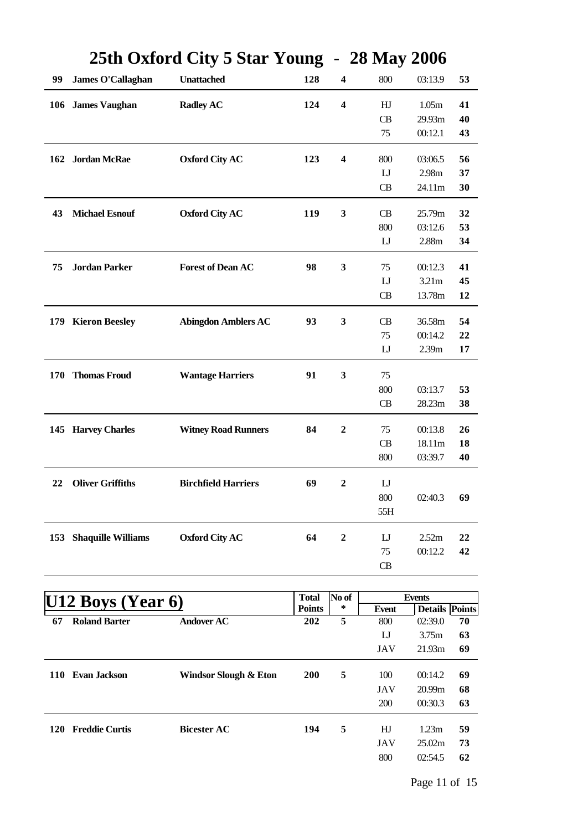|     |                           |                            | o                             |                         |                     |                                  |    |
|-----|---------------------------|----------------------------|-------------------------------|-------------------------|---------------------|----------------------------------|----|
| 99  | James O'Callaghan         | <b>Unattached</b>          | 128                           | $\overline{\mathbf{4}}$ | 800                 | 03:13.9                          | 53 |
|     | 106 James Vaughan         | <b>Radley AC</b>           | 124                           | $\overline{\mathbf{4}}$ | HJ                  | 1.05m                            | 41 |
|     |                           |                            |                               |                         | CB                  | 29.93m                           | 40 |
|     |                           |                            |                               |                         | 75                  | 00:12.1                          | 43 |
|     | 162 Jordan McRae          | <b>Oxford City AC</b>      | 123                           | $\overline{\mathbf{4}}$ | 800                 | 03:06.5                          | 56 |
|     |                           |                            |                               |                         | $\mathbf{L}$        | 2.98m                            | 37 |
|     |                           |                            |                               |                         | CB                  | 24.11m                           | 30 |
| 43  | <b>Michael Esnouf</b>     | <b>Oxford City AC</b>      | 119                           | $\mathbf{3}$            | <b>CB</b>           | 25.79m                           | 32 |
|     |                           |                            |                               |                         | 800                 | 03:12.6                          | 53 |
|     |                           |                            |                               |                         | $\mathbf{L}$        | 2.88m                            | 34 |
|     |                           |                            |                               |                         |                     |                                  |    |
| 75  | <b>Jordan Parker</b>      | <b>Forest of Dean AC</b>   | 98                            | 3                       | 75                  | 00:12.3                          | 41 |
|     |                           |                            |                               |                         | $\mathbf{L}$        | 3.21m                            | 45 |
|     |                           |                            |                               |                         | CB                  | 13.78m                           | 12 |
|     | 179 Kieron Beesley        | <b>Abingdon Amblers AC</b> | 93                            | 3                       | CB                  | 36.58m                           | 54 |
|     |                           |                            |                               |                         | 75                  | 00:14.2                          | 22 |
|     |                           |                            |                               |                         | $\mathbf{L}$        | 2.39m                            | 17 |
|     | 170 Thomas Froud          | <b>Wantage Harriers</b>    | 91                            | $\mathbf{3}$            | 75                  |                                  |    |
|     |                           |                            |                               |                         | 800                 | 03:13.7                          | 53 |
|     |                           |                            |                               |                         | CB                  | 28.23m                           | 38 |
|     |                           |                            |                               |                         |                     |                                  |    |
|     | 145 Harvey Charles        | <b>Witney Road Runners</b> | 84                            | $\boldsymbol{2}$        | 75                  | 00:13.8                          | 26 |
|     |                           |                            |                               |                         | CB                  | 18.11m                           | 18 |
|     |                           |                            |                               |                         | 800                 | 03:39.7                          | 40 |
| 22  | <b>Oliver Griffiths</b>   | <b>Birchfield Harriers</b> | 69                            | $\mathbf{2}$            | $\mathbf{L}$        |                                  |    |
|     |                           |                            |                               |                         | 800                 | 02:40.3                          | 69 |
|     |                           |                            |                               |                         | 55H                 |                                  |    |
| 153 | <b>Shaquille Williams</b> | <b>Oxford City AC</b>      | 64                            | $\overline{2}$          | $\mathbf{L}$        | 2.52m                            | 22 |
|     |                           |                            |                               |                         | 75                  | 00:12.2                          | 42 |
|     |                           |                            |                               |                         | CB                  |                                  |    |
|     |                           |                            |                               |                         |                     |                                  |    |
|     | 2 Boys (Year 6)           |                            | <b>Total</b><br><b>Points</b> | No of<br>∗              |                     | <b>Events</b>                    |    |
| 67  | <b>Roland Barter</b>      | <b>Andover AC</b>          | 202                           | 5                       | <b>Event</b><br>800 | <b>Details Points</b><br>02:39.0 | 70 |
|     |                           |                            |                               |                         | $\mathbf{L}$        | 3.75m                            | 63 |
|     |                           |                            |                               |                         | <b>JAV</b>          | 21.93m                           | 69 |
|     | 110 Evan Jackson          | Windsor Slough & Eton      | 200                           | 5                       | 100                 | 00:14.2                          | 69 |
|     |                           |                            |                               |                         | <b>JAV</b>          | 20.99m                           | 68 |
|     |                           |                            |                               |                         | 200                 | 00:30.3                          | 63 |
|     |                           |                            |                               |                         |                     |                                  |    |

**120 Freddie Curtis Bicester AC 194 5** HJ 1.23m **59**

#### **25th Oxford City 5 Star Young** - **28 May 2006**

JAV 25.02m **73** 800 02:54.5 **62**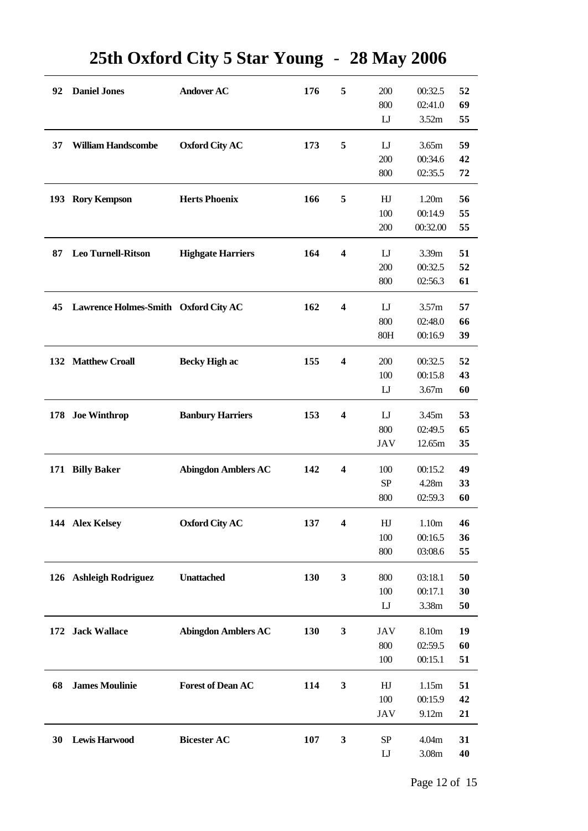| 92  | <b>Daniel Jones</b>                  | <b>Andover AC</b>          | 176 | 5                       | 200          | 00:32.5  | 52 |
|-----|--------------------------------------|----------------------------|-----|-------------------------|--------------|----------|----|
|     |                                      |                            |     |                         | 800          | 02:41.0  | 69 |
|     |                                      |                            |     |                         | $\mathbf{L}$ | 3.52m    | 55 |
|     |                                      |                            |     |                         |              |          |    |
| 37  | <b>William Handscombe</b>            | <b>Oxford City AC</b>      | 173 | 5                       | $\mathbf{L}$ | 3.65m    | 59 |
|     |                                      |                            |     |                         | 200          | 00:34.6  | 42 |
|     |                                      |                            |     |                         | 800          | 02:35.5  | 72 |
|     |                                      |                            |     |                         |              |          |    |
| 193 | <b>Rory Kempson</b>                  | <b>Herts Phoenix</b>       | 166 | 5                       | HJ           | 1.20m    | 56 |
|     |                                      |                            |     |                         | 100          | 00:14.9  | 55 |
|     |                                      |                            |     |                         | 200          | 00:32.00 | 55 |
|     |                                      |                            |     |                         |              |          |    |
| 87  | <b>Leo Turnell-Ritson</b>            | <b>Highgate Harriers</b>   | 164 | 4                       | $\mathbf{L}$ | 3.39m    | 51 |
|     |                                      |                            |     |                         | 200          | 00:32.5  | 52 |
|     |                                      |                            |     |                         | 800          | 02:56.3  | 61 |
|     |                                      |                            |     |                         |              |          |    |
| 45  | Lawrence Holmes-Smith Oxford City AC |                            | 162 | $\overline{\mathbf{4}}$ | $\mathbf{L}$ | 3.57m    | 57 |
|     |                                      |                            |     |                         | 800          | 02:48.0  | 66 |
|     |                                      |                            |     |                         | 80H          | 00:16.9  | 39 |
|     |                                      |                            |     |                         |              |          |    |
|     | 132 Matthew Croall                   | <b>Becky High ac</b>       | 155 | $\overline{\mathbf{4}}$ | 200          | 00:32.5  | 52 |
|     |                                      |                            |     |                         | 100          | 00:15.8  | 43 |
|     |                                      |                            |     |                         | $\mathbf{L}$ | 3.67m    | 60 |
|     |                                      |                            |     |                         |              |          |    |
|     | 178 Joe Winthrop                     | <b>Banbury Harriers</b>    | 153 | $\overline{\mathbf{4}}$ | $\mathbf{L}$ | 3.45m    | 53 |
|     |                                      |                            |     |                         | 800          | 02:49.5  | 65 |
|     |                                      |                            |     |                         | JAV          | 12.65m   | 35 |
|     | 171 Billy Baker                      | <b>Abingdon Amblers AC</b> | 142 | $\overline{\mathbf{4}}$ | 100          | 00:15.2  | 49 |
|     |                                      |                            |     |                         | <b>SP</b>    | 4.28m    | 33 |
|     |                                      |                            |     |                         | 800          | 02:59.3  | 60 |
|     |                                      |                            |     |                         |              |          |    |
|     | 144 Alex Kelsey                      | <b>Oxford City AC</b>      | 137 | 4                       | HJ           | 1.10m    | 46 |
|     |                                      |                            |     |                         | 100          | 00:16.5  | 36 |
|     |                                      |                            |     |                         | 800          | 03:08.6  | 55 |
|     |                                      |                            |     |                         |              |          |    |
|     | 126 Ashleigh Rodriguez               | <b>Unattached</b>          | 130 | 3                       | 800          | 03:18.1  | 50 |
|     |                                      |                            |     |                         | 100          | 00:17.1  | 30 |
|     |                                      |                            |     |                         | $\mathbf{L}$ | 3.38m    | 50 |
|     |                                      |                            |     |                         |              |          |    |
|     | 172 Jack Wallace                     | <b>Abingdon Amblers AC</b> | 130 | 3                       | <b>JAV</b>   | 8.10m    | 19 |
|     |                                      |                            |     |                         | 800          | 02:59.5  | 60 |
|     |                                      |                            |     |                         | 100          | 00:15.1  | 51 |
|     |                                      |                            |     |                         |              |          |    |
| 68  | <b>James Moulinie</b>                | <b>Forest of Dean AC</b>   | 114 | 3                       | HJ           | 1.15m    | 51 |
|     |                                      |                            |     |                         | 100          | 00:15.9  | 42 |
|     |                                      |                            |     |                         | JAV          | 9.12m    | 21 |
| 30  | <b>Lewis Harwood</b>                 | <b>Bicester AC</b>         | 107 | $\mathbf{3}$            | <b>SP</b>    | 4.04m    | 31 |
|     |                                      |                            |     |                         | $\mathbf{L}$ | 3.08m    | 40 |
|     |                                      |                            |     |                         |              |          |    |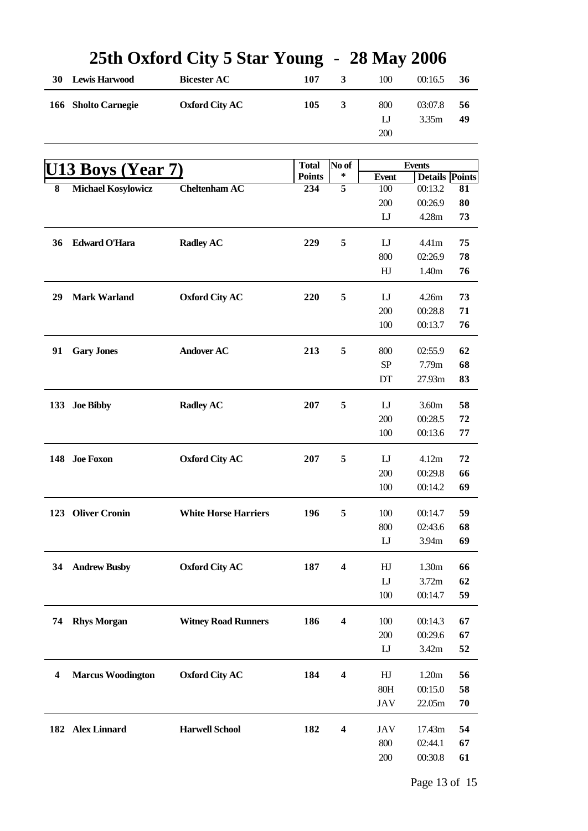|    |                               | 2011 UAI01 u City o biai Tuung |                      |                         | $-$ 40 iviay 4000        |                                  |    |
|----|-------------------------------|--------------------------------|----------------------|-------------------------|--------------------------|----------------------------------|----|
| 30 | <b>Lewis Harwood</b>          | <b>Bicester AC</b>             | 107                  | $\mathbf{3}$            | 100                      | 00:16.5                          | 36 |
|    | 166 Sholto Carnegie           | <b>Oxford City AC</b>          | 105                  | 3                       | 800                      | 03:07.8                          | 56 |
|    |                               |                                |                      |                         | $_{\text{LJ}}$           | 3.35m                            | 49 |
|    |                               |                                |                      |                         | 200                      |                                  |    |
|    |                               |                                |                      |                         |                          |                                  |    |
|    | U <sub>13</sub> Boys (Year 7) |                                | <b>Total</b>         | No of<br>∗              |                          | <b>Events</b>                    |    |
| 8  | <b>Michael Kosylowicz</b>     | <b>Cheltenham AC</b>           | <b>Points</b><br>234 | $\overline{5}$          | <b>Event</b><br>100      | <b>Details</b> Points<br>00:13.2 | 81 |
|    |                               |                                |                      |                         | 200                      | 00:26.9                          | 80 |
|    |                               |                                |                      |                         | $\mathbf{L}\mathbf{J}$   | 4.28m                            | 73 |
|    |                               |                                |                      |                         |                          |                                  |    |
| 36 | <b>Edward O'Hara</b>          | <b>Radley AC</b>               | 229                  | 5                       | $_{\text{LJ}}$           | 4.41m                            | 75 |
|    |                               |                                |                      |                         | 800                      | 02:26.9                          | 78 |
|    |                               |                                |                      |                         | ${\rm H\hspace{-.1em}I}$ | 1.40m                            | 76 |
| 29 | <b>Mark Warland</b>           | <b>Oxford City AC</b>          | 220                  | 5                       | $_{\text{LJ}}$           | 4.26m                            | 73 |
|    |                               |                                |                      |                         | 200                      | 00:28.8                          | 71 |
|    |                               |                                |                      |                         | 100                      | 00:13.7                          | 76 |
| 91 | <b>Gary Jones</b>             | <b>Andover AC</b>              | 213                  | 5                       | 800                      | 02:55.9                          | 62 |
|    |                               |                                |                      |                         | ${\rm SP}$               | 7.79m                            | 68 |
|    |                               |                                |                      |                         | DT                       | 27.93m                           | 83 |
|    |                               |                                |                      |                         |                          |                                  |    |
|    | 133 Joe Bibby                 | <b>Radley AC</b>               | 207                  | 5                       | $_{\text{LJ}}$           | 3.60m                            | 58 |
|    |                               |                                |                      |                         | 200                      | 00:28.5                          | 72 |
|    |                               |                                |                      |                         | 100                      | 00:13.6                          | 77 |
|    | 148 Joe Foxon                 | <b>Oxford City AC</b>          | 207                  | 5                       | $_{\text{LJ}}$           | 4.12m                            | 72 |
|    |                               |                                |                      |                         | 200                      | 00:29.8                          | 66 |
|    |                               |                                |                      |                         | 100                      | 00:14.2                          | 69 |
|    | 123 Oliver Cronin             | <b>White Horse Harriers</b>    | 196                  | 5                       | 100                      | 00:14.7                          | 59 |
|    |                               |                                |                      |                         | 800                      | 02:43.6                          | 68 |
|    |                               |                                |                      |                         | $_{\text{LJ}}$           | 3.94m                            | 69 |
| 34 | <b>Andrew Busby</b>           | <b>Oxford City AC</b>          | 187                  | $\overline{\mathbf{4}}$ | HJ                       | 1.30m                            | 66 |
|    |                               |                                |                      |                         | $\mathbf{L}$             | 3.72m                            | 62 |
|    |                               |                                |                      |                         | 100                      | 00:14.7                          | 59 |
|    |                               |                                |                      |                         |                          |                                  |    |
| 74 | <b>Rhys Morgan</b>            | <b>Witney Road Runners</b>     | 186                  | $\overline{\mathbf{4}}$ | 100                      | 00:14.3                          | 67 |
|    |                               |                                |                      |                         | 200                      | 00:29.6                          | 67 |
|    |                               |                                |                      |                         | $_{\text{LJ}}$           | 3.42m                            | 52 |
| 4  | <b>Marcus Woodington</b>      | <b>Oxford City AC</b>          | 184                  | $\overline{\mathbf{4}}$ | HJ                       | 1.20m                            | 56 |
|    |                               |                                |                      |                         | 80H                      | 00:15.0                          | 58 |
|    |                               |                                |                      |                         | JAV                      | 22.05m                           | 70 |
|    | 182 Alex Linnard              | <b>Harwell School</b>          | 182                  | $\boldsymbol{4}$        | JAV                      | 17.43m                           | 54 |
|    |                               |                                |                      |                         | 800                      | 02:44.1                          | 67 |
|    |                               |                                |                      |                         | 200                      | 00:30.8                          | 61 |
|    |                               |                                |                      |                         |                          |                                  |    |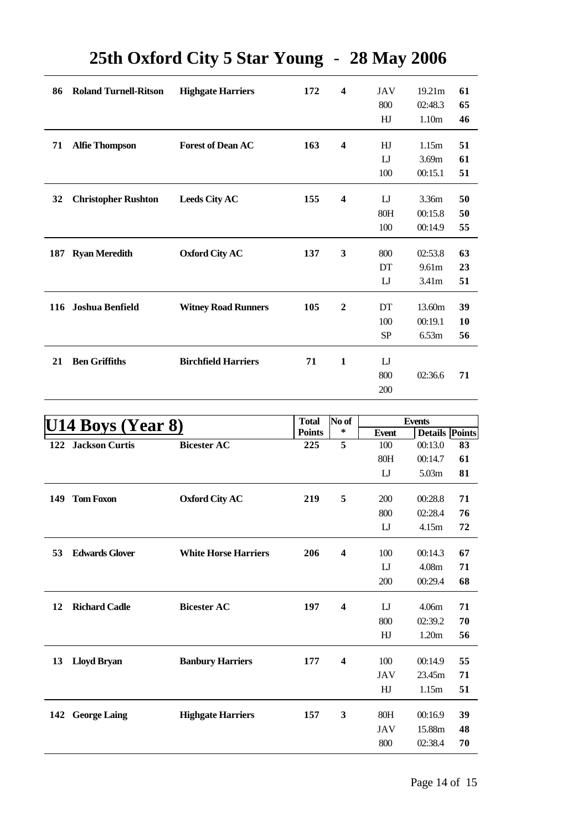| 86  | <b>Roland Turnell-Ritson</b> | <b>Highgate Harriers</b>   | 172 | $\overline{\mathbf{4}}$ | JAV           | 19.21 <sub>m</sub> | 61 |
|-----|------------------------------|----------------------------|-----|-------------------------|---------------|--------------------|----|
|     |                              |                            |     |                         | 800           | 02:48.3            | 65 |
|     |                              |                            |     |                         | HJ            | 1.10 <sub>m</sub>  | 46 |
| 71  | <b>Alfie Thompson</b>        | <b>Forest of Dean AC</b>   | 163 | $\overline{\mathbf{4}}$ | HJ            | 1.15m              | 51 |
|     |                              |                            |     |                         | $_{\rm LI}$   | 3.69m              | 61 |
|     |                              |                            |     |                         | 100           | 00:15.1            | 51 |
| 32  | <b>Christopher Rushton</b>   | <b>Leeds City AC</b>       | 155 | $\overline{\mathbf{4}}$ | $_{\text{L}}$ | 3.36m              | 50 |
|     |                              |                            |     |                         | 80H           | 00:15.8            | 50 |
|     |                              |                            |     |                         | 100           | 00:14.9            | 55 |
|     |                              |                            |     |                         |               |                    |    |
| 187 | <b>Ryan Meredith</b>         | <b>Oxford City AC</b>      | 137 | $\mathbf{3}$            | 800           | 02:53.8            | 63 |
|     |                              |                            |     |                         | DT            | 9.61m              | 23 |
|     |                              |                            |     |                         | $_{\text{L}}$ | 3.41m              | 51 |
|     | 116 Joshua Benfield          | <b>Witney Road Runners</b> | 105 | $\boldsymbol{2}$        | DT            | 13.60m             | 39 |
|     |                              |                            |     |                         | 100           | 00:19.1            | 10 |
|     |                              |                            |     |                         | SP            | 6.53m              | 56 |
| 21  | <b>Ben Griffiths</b>         | <b>Birchfield Harriers</b> | 71  | 1                       | $_{\text{L}}$ |                    |    |
|     |                              |                            |     |                         | 800           | 02:36.6            | 71 |
|     |                              |                            |     |                         | 200           |                    |    |
|     |                              |                            |     |                         |               |                    |    |

| U14 Boys (Year 8) |                       |                             | <b>Total</b>  | No of                   | <b>Events</b> |                       |    |
|-------------------|-----------------------|-----------------------------|---------------|-------------------------|---------------|-----------------------|----|
|                   |                       |                             | <b>Points</b> | ∗                       | <b>Event</b>  | <b>Details</b> Points |    |
| 122               | <b>Jackson Curtis</b> | <b>Bicester AC</b>          | 225           | 5                       | 100           | 00:13.0               | 83 |
|                   |                       |                             |               |                         | 80H           | 00:14.7               | 61 |
|                   |                       |                             |               |                         | $_{\text{L}}$ | 5.03m                 | 81 |
| 149               | <b>Tom Foxon</b>      | <b>Oxford City AC</b>       | 219           | 5                       | 200           | 00:28.8               | 71 |
|                   |                       |                             |               |                         | 800           | 02:28.4               | 76 |
|                   |                       |                             |               |                         | $_{\text{L}}$ | 4.15m                 | 72 |
| 53                | <b>Edwards Glover</b> | <b>White Horse Harriers</b> | 206           | $\overline{\mathbf{4}}$ | 100           | 00:14.3               | 67 |
|                   |                       |                             |               |                         | $_{\text{L}}$ | 4.08m                 | 71 |
|                   |                       |                             |               |                         | 200           | 00:29.4               | 68 |
| 12                | <b>Richard Cadle</b>  | <b>Bicester AC</b>          | 197           | $\overline{\mathbf{4}}$ | $_{\rm LI}$   | 4.06 <sub>m</sub>     | 71 |
|                   |                       |                             |               |                         | 800           | 02:39.2               | 70 |
|                   |                       |                             |               |                         | HJ            | 1.20m                 | 56 |
| 13                | <b>Lloyd Bryan</b>    | <b>Banbury Harriers</b>     | 177           | $\overline{\mathbf{4}}$ | 100           | 00:14.9               | 55 |
|                   |                       |                             |               |                         | <b>JAV</b>    | 23.45m                | 71 |
|                   |                       |                             |               |                         | HJ            | 1.15m                 | 51 |
| 142               | <b>George Laing</b>   | <b>Highgate Harriers</b>    | 157           | 3                       | 80H           | 00:16.9               | 39 |
|                   |                       |                             |               |                         | <b>JAV</b>    | 15.88m                | 48 |
|                   |                       |                             |               |                         | 800           | 02:38.4               | 70 |
|                   |                       |                             |               |                         |               |                       |    |